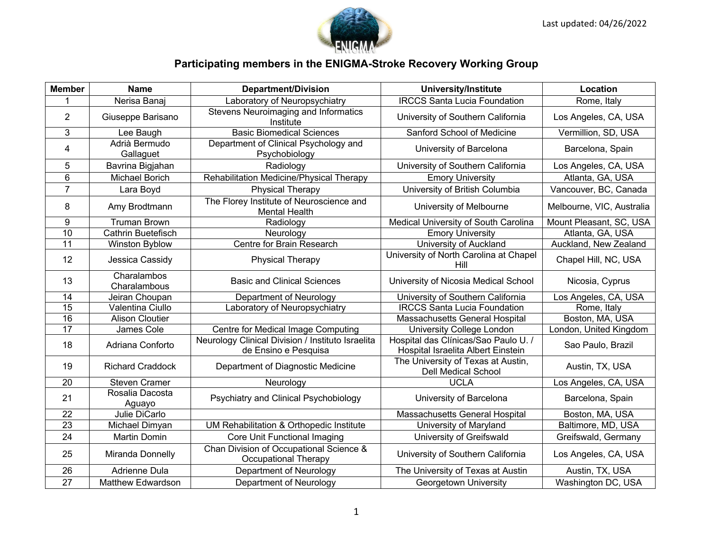

## **Participating members in the ENIGMA-Stroke Recovery Working Group**

| <b>Member</b>           | <b>Name</b>                 | <b>Department/Division</b>                                                | <b>University/Institute</b>                                                | Location                  |
|-------------------------|-----------------------------|---------------------------------------------------------------------------|----------------------------------------------------------------------------|---------------------------|
|                         | Nerisa Banaj                | Laboratory of Neuropsychiatry                                             | <b>IRCCS Santa Lucia Foundation</b>                                        | Rome, Italy               |
| $\overline{2}$          | Giuseppe Barisano           | Stevens Neuroimaging and Informatics<br>Institute                         | University of Southern California                                          | Los Angeles, CA, USA      |
| $\mathfrak{S}$          | Lee Baugh                   | <b>Basic Biomedical Sciences</b>                                          | Sanford School of Medicine                                                 | Vermillion, SD, USA       |
| $\overline{\mathbf{4}}$ | Adrià Bermudo<br>Gallaguet  | Department of Clinical Psychology and<br>Psychobiology                    | University of Barcelona                                                    | Barcelona, Spain          |
| 5                       | Bavrina Bigjahan            | Radiology                                                                 | University of Southern California                                          | Los Angeles, CA, USA      |
| $6\phantom{1}6$         | Michael Borich              | Rehabilitation Medicine/Physical Therapy                                  | <b>Emory University</b>                                                    | Atlanta, GA, USA          |
| $\overline{7}$          | Lara Boyd                   | <b>Physical Therapy</b>                                                   | University of British Columbia                                             | Vancouver, BC, Canada     |
| 8                       | Amy Brodtmann               | The Florey Institute of Neuroscience and<br><b>Mental Health</b>          | University of Melbourne                                                    | Melbourne, VIC, Australia |
| $9\,$                   | <b>Truman Brown</b>         | Radiology                                                                 | Medical University of South Carolina                                       | Mount Pleasant, SC, USA   |
| 10                      | Cathrin Buetefisch          | Neurology                                                                 | <b>Emory University</b>                                                    | Atlanta, GA, USA          |
| 11                      | Winston Byblow              | Centre for Brain Research                                                 | University of Auckland                                                     | Auckland, New Zealand     |
| 12                      | Jessica Cassidy             | <b>Physical Therapy</b>                                                   | University of North Carolina at Chapel<br>Hill                             | Chapel Hill, NC, USA      |
| 13                      | Charalambos<br>Charalambous | <b>Basic and Clinical Sciences</b>                                        | University of Nicosia Medical School                                       | Nicosia, Cyprus           |
| 14                      | Jeiran Choupan              | Department of Neurology                                                   | University of Southern California                                          | Los Angeles, CA, USA      |
| $\overline{15}$         | Valentina Ciullo            | Laboratory of Neuropsychiatry                                             | <b>IRCCS Santa Lucia Foundation</b>                                        | Rome, Italy               |
| 16                      | <b>Alison Cloutier</b>      |                                                                           | Massachusetts General Hospital                                             | Boston, MA, USA           |
| 17                      | James Cole                  | Centre for Medical Image Computing                                        | University College London                                                  | London, United Kingdom    |
| 18                      | Adriana Conforto            | Neurology Clinical Division / Instituto Israelita<br>de Ensino e Pesquisa | Hospital das Clínicas/Sao Paulo U. /<br>Hospital Israelita Albert Einstein | Sao Paulo, Brazil         |
| 19                      | <b>Richard Craddock</b>     | Department of Diagnostic Medicine                                         | The University of Texas at Austin,<br><b>Dell Medical School</b>           | Austin, TX, USA           |
| 20                      | <b>Steven Cramer</b>        | Neurology                                                                 | <b>UCLA</b>                                                                | Los Angeles, CA, USA      |
| 21                      | Rosalia Dacosta<br>Aguayo   | Psychiatry and Clinical Psychobiology                                     | University of Barcelona                                                    | Barcelona, Spain          |
| 22                      | Julie DiCarlo               |                                                                           | Massachusetts General Hospital                                             | Boston, MA, USA           |
| $\overline{23}$         | Michael Dimyan              | UM Rehabilitation & Orthopedic Institute                                  | University of Maryland                                                     | Baltimore, MD, USA        |
| 24                      | <b>Martin Domin</b>         | Core Unit Functional Imaging                                              | University of Greifswald                                                   | Greifswald, Germany       |
| 25                      | Miranda Donnelly            | Chan Division of Occupational Science &<br><b>Occupational Therapy</b>    | University of Southern California                                          | Los Angeles, CA, USA      |
| 26                      | <b>Adrienne Dula</b>        | Department of Neurology                                                   | The University of Texas at Austin                                          | Austin, TX, USA           |
| 27                      | <b>Matthew Edwardson</b>    | Department of Neurology                                                   | Georgetown University                                                      | Washington DC, USA        |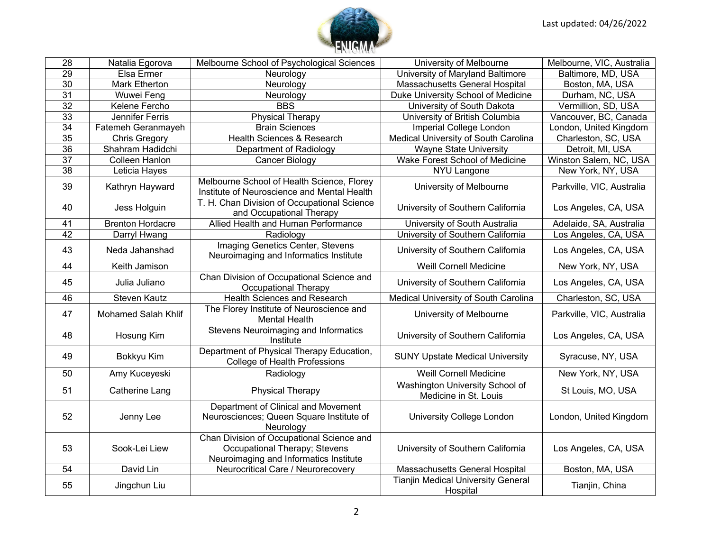

| $\overline{28}$ | Natalia Egorova            | Melbourne School of Psychological Sciences                                                                           | University of Melbourne                                  | Melbourne, VIC, Australia |
|-----------------|----------------------------|----------------------------------------------------------------------------------------------------------------------|----------------------------------------------------------|---------------------------|
| 29              | Elsa Ermer                 | Neurology                                                                                                            | University of Maryland Baltimore                         | Baltimore, MD, USA        |
| $\overline{30}$ | Mark Etherton              | Neurology                                                                                                            | Massachusetts General Hospital                           | Boston, MA, USA           |
| $\overline{31}$ | Wuwei Feng                 | Neurology                                                                                                            | Duke University School of Medicine                       | Durham, NC, USA           |
| $\overline{32}$ | Kelene Fercho              | <b>BBS</b>                                                                                                           | University of South Dakota                               | Vermillion, SD, USA       |
| 33              | Jennifer Ferris            | <b>Physical Therapy</b>                                                                                              | University of British Columbia                           | Vancouver, BC, Canada     |
| 34              | Fatemeh Geranmayeh         | <b>Brain Sciences</b>                                                                                                | Imperial College London                                  | London, United Kingdom    |
| 35              | <b>Chris Gregory</b>       | <b>Health Sciences &amp; Research</b>                                                                                | Medical University of South Carolina                     | Charleston, SC, USA       |
| $\overline{36}$ | Shahram Hadidchi           | Department of Radiology                                                                                              | <b>Wayne State University</b>                            | Detroit, MI, USA          |
| $\overline{37}$ | Colleen Hanlon             | Cancer Biology                                                                                                       | Wake Forest School of Medicine                           | Winston Salem, NC, USA    |
| $\overline{38}$ | Leticia Hayes              |                                                                                                                      | <b>NYU Langone</b>                                       | New York, NY, USA         |
| 39              | Kathryn Hayward            | Melbourne School of Health Science, Florey<br>Institute of Neuroscience and Mental Health                            | University of Melbourne                                  | Parkville, VIC, Australia |
| 40              | Jess Holguin               | T. H. Chan Division of Occupational Science<br>and Occupational Therapy                                              | University of Southern California                        | Los Angeles, CA, USA      |
| 41              | <b>Brenton Hordacre</b>    | Allied Health and Human Performance                                                                                  | University of South Australia                            | Adelaide, SA, Australia   |
| 42              | Darryl Hwang               | Radiology                                                                                                            | University of Southern California                        | Los Angeles, CA, USA      |
| 43              | Neda Jahanshad             | Imaging Genetics Center, Stevens<br>Neuroimaging and Informatics Institute                                           | University of Southern California                        | Los Angeles, CA, USA      |
| 44              | Keith Jamison              |                                                                                                                      | <b>Weill Cornell Medicine</b>                            | New York, NY, USA         |
| 45              | Julia Juliano              | Chan Division of Occupational Science and<br>Occupational Therapy                                                    | University of Southern California                        | Los Angeles, CA, USA      |
| 46              | <b>Steven Kautz</b>        | <b>Health Sciences and Research</b>                                                                                  | Medical University of South Carolina                     | Charleston, SC, USA       |
| 47              | <b>Mohamed Salah Khlif</b> | The Florey Institute of Neuroscience and<br><b>Mental Health</b>                                                     | University of Melbourne                                  | Parkville, VIC, Australia |
| 48              | Hosung Kim                 | Stevens Neuroimaging and Informatics<br>Institute                                                                    | University of Southern California                        | Los Angeles, CA, USA      |
| 49              | Bokkyu Kim                 | Department of Physical Therapy Education,<br>College of Health Professions                                           | <b>SUNY Upstate Medical University</b>                   | Syracuse, NY, USA         |
| 50              | Amy Kuceyeski              | Radiology                                                                                                            | <b>Weill Cornell Medicine</b>                            | New York, NY, USA         |
| 51              | <b>Catherine Lang</b>      | <b>Physical Therapy</b>                                                                                              | Washington University School of<br>Medicine in St. Louis | St Louis, MO, USA         |
| 52              | Jenny Lee                  | Department of Clinical and Movement<br>Neurosciences; Queen Square Institute of<br>Neurology                         | University College London                                | London, United Kingdom    |
| 53              | Sook-Lei Liew              | Chan Division of Occupational Science and<br>Occupational Therapy; Stevens<br>Neuroimaging and Informatics Institute | University of Southern California                        | Los Angeles, CA, USA      |
| 54              | David Lin                  | Neurocritical Care / Neurorecovery                                                                                   | Massachusetts General Hospital                           | Boston, MA, USA           |
| 55              | Jingchun Liu               |                                                                                                                      | <b>Tianjin Medical University General</b><br>Hospital    | Tianjin, China            |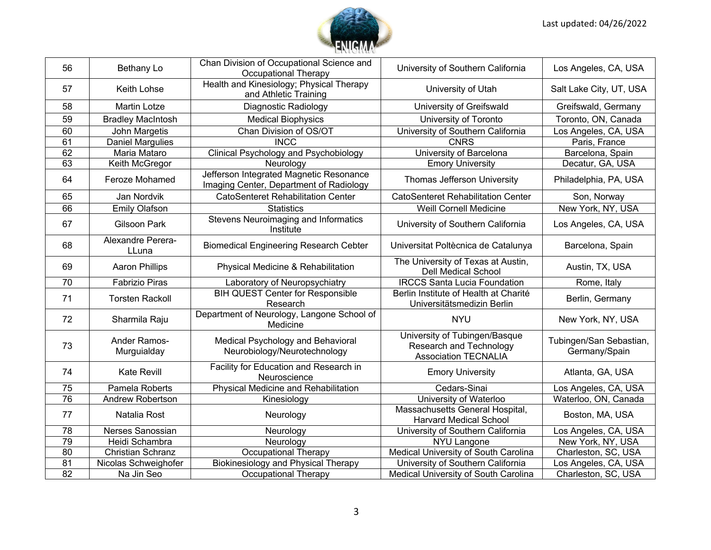

| 56              | Bethany Lo                  | Chan Division of Occupational Science and<br><b>Occupational Therapy</b>           | University of Southern California                                                       | Los Angeles, CA, USA                     |
|-----------------|-----------------------------|------------------------------------------------------------------------------------|-----------------------------------------------------------------------------------------|------------------------------------------|
| 57              | Keith Lohse                 | Health and Kinesiology; Physical Therapy<br>and Athletic Training                  | University of Utah                                                                      | Salt Lake City, UT, USA                  |
| 58              | <b>Martin Lotze</b>         | Diagnostic Radiology                                                               | University of Greifswald                                                                | Greifswald, Germany                      |
| 59              | <b>Bradley MacIntosh</b>    | <b>Medical Biophysics</b>                                                          | University of Toronto                                                                   | Toronto, ON, Canada                      |
| 60              | John Margetis               | Chan Division of OS/OT                                                             | University of Southern California                                                       | Los Angeles, CA, USA                     |
| 61              | Daniel Margulies            | <b>INCC</b>                                                                        | <b>CNRS</b>                                                                             | Paris, France                            |
| 62              | Maria Mataro                | Clinical Psychology and Psychobiology                                              | University of Barcelona                                                                 | Barcelona, Spain                         |
| 63              | Keith McGregor              | Neurology                                                                          | <b>Emory University</b>                                                                 | Decatur, GA, USA                         |
| 64              | Feroze Mohamed              | Jefferson Integrated Magnetic Resonance<br>Imaging Center, Department of Radiology | Thomas Jefferson University                                                             | Philadelphia, PA, USA                    |
| 65              | Jan Nordvik                 | <b>CatoSenteret Rehabilitation Center</b>                                          | <b>CatoSenteret Rehabilitation Center</b>                                               | Son, Norway                              |
| 66              | <b>Emily Olafson</b>        | <b>Statistics</b>                                                                  | <b>Weill Cornell Medicine</b>                                                           | New York, NY, USA                        |
| 67              | <b>Gilsoon Park</b>         | Stevens Neuroimaging and Informatics<br>Institute                                  | University of Southern California                                                       | Los Angeles, CA, USA                     |
| 68              | Alexandre Perera-<br>LLuna  | <b>Biomedical Engineering Research Cebter</b>                                      | Universitat Poltècnica de Catalunya                                                     | Barcelona, Spain                         |
| 69              | <b>Aaron Phillips</b>       | Physical Medicine & Rehabilitation                                                 | The University of Texas at Austin,<br><b>Dell Medical School</b>                        | Austin, TX, USA                          |
| 70              | <b>Fabrizio Piras</b>       | Laboratory of Neuropsychiatry                                                      | <b>IRCCS Santa Lucia Foundation</b>                                                     | Rome, Italy                              |
| 71              | <b>Torsten Rackoll</b>      | <b>BIH QUEST Center for Responsible</b><br>Research                                | Berlin Institute of Health at Charité<br>Universitätsmedizin Berlin                     | Berlin, Germany                          |
| 72              | Sharmila Raju               | Department of Neurology, Langone School of<br>Medicine                             | <b>NYU</b>                                                                              | New York, NY, USA                        |
| 73              | Ander Ramos-<br>Murguialday | Medical Psychology and Behavioral<br>Neurobiology/Neurotechnology                  | University of Tubingen/Basque<br>Research and Technology<br><b>Association TECNALIA</b> | Tubingen/San Sebastian,<br>Germany/Spain |
| 74              | Kate Revill                 | Facility for Education and Research in<br>Neuroscience                             | <b>Emory University</b>                                                                 | Atlanta, GA, USA                         |
| $\overline{75}$ | Pamela Roberts              | <b>Physical Medicine and Rehabilitation</b>                                        | Cedars-Sinai                                                                            | Los Angeles, CA, USA                     |
| $\overline{76}$ | Andrew Robertson            | Kinesiology                                                                        | University of Waterloo                                                                  | Waterloo, ON, Canada                     |
| 77              | Natalia Rost                | Neurology                                                                          | Massachusetts General Hospital,<br><b>Harvard Medical School</b>                        | Boston, MA, USA                          |
| 78              | Nerses Sanossian            | Neurology                                                                          | University of Southern California                                                       | Los Angeles, CA, USA                     |
| 79              | Heidi Schambra              | Neurology                                                                          | <b>NYU Langone</b>                                                                      | New York, NY, USA                        |
| 80              | Christian Schranz           | Occupational Therapy                                                               | Medical University of South Carolina                                                    | Charleston, SC, USA                      |
| $\overline{81}$ | Nicolas Schweighofer        | <b>Biokinesiology and Physical Therapy</b>                                         | University of Southern California                                                       | Los Angeles, CA, USA                     |
| 82              | Na Jin Seo                  | Occupational Therapy                                                               | Medical University of South Carolina                                                    | Charleston, SC, USA                      |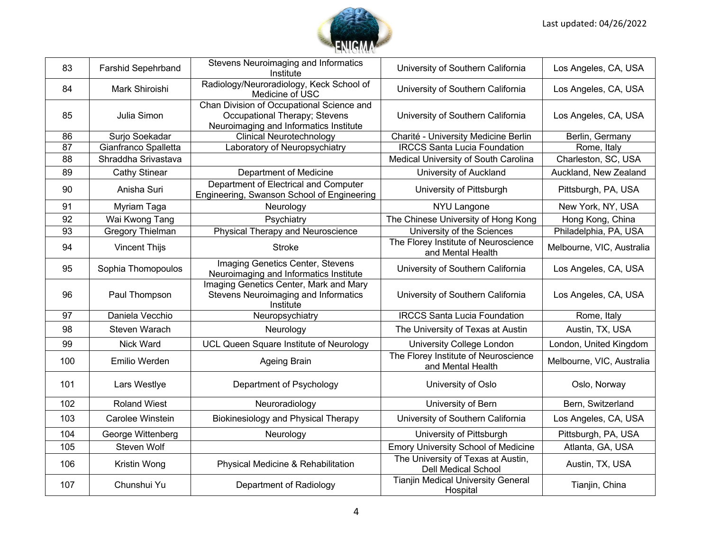

| 83              | Farshid Sepehrband      | Stevens Neuroimaging and Informatics<br>Institute                                                                    | University of Southern California                         | Los Angeles, CA, USA      |
|-----------------|-------------------------|----------------------------------------------------------------------------------------------------------------------|-----------------------------------------------------------|---------------------------|
| 84              | Mark Shiroishi          | Radiology/Neuroradiology, Keck School of<br>Medicine of USC                                                          | University of Southern California                         | Los Angeles, CA, USA      |
| 85              | Julia Simon             | Chan Division of Occupational Science and<br>Occupational Therapy; Stevens<br>Neuroimaging and Informatics Institute | University of Southern California                         | Los Angeles, CA, USA      |
| 86              | Surjo Soekadar          | <b>Clinical Neurotechnology</b>                                                                                      | Charité - University Medicine Berlin                      | Berlin, Germany           |
| $\overline{87}$ | Gianfranco Spalletta    | Laboratory of Neuropsychiatry                                                                                        | <b>IRCCS Santa Lucia Foundation</b>                       | Rome, Italy               |
| 88              | Shraddha Srivastava     |                                                                                                                      | Medical University of South Carolina                      | Charleston, SC, USA       |
| 89              | <b>Cathy Stinear</b>    | Department of Medicine                                                                                               | University of Auckland                                    | Auckland, New Zealand     |
| 90              | Anisha Suri             | Department of Electrical and Computer<br>Engineering, Swanson School of Engineering                                  | University of Pittsburgh                                  | Pittsburgh, PA, USA       |
| 91              | Myriam Taga             | Neurology                                                                                                            | NYU Langone                                               | New York, NY, USA         |
| 92              | Wai Kwong Tang          | Psychiatry                                                                                                           | The Chinese University of Hong Kong                       | Hong Kong, China          |
| 93              | <b>Gregory Thielman</b> | Physical Therapy and Neuroscience                                                                                    | University of the Sciences                                | Philadelphia, PA, USA     |
| 94              | <b>Vincent Thijs</b>    | <b>Stroke</b>                                                                                                        | The Florey Institute of Neuroscience<br>and Mental Health | Melbourne, VIC, Australia |
| 95              | Sophia Thomopoulos      | Imaging Genetics Center, Stevens<br>Neuroimaging and Informatics Institute                                           | University of Southern California                         | Los Angeles, CA, USA      |
| 96              | Paul Thompson           | Imaging Genetics Center, Mark and Mary<br>Stevens Neuroimaging and Informatics<br>Institute                          | University of Southern California                         | Los Angeles, CA, USA      |
| 97              | Daniela Vecchio         | Neuropsychiatry                                                                                                      | <b>IRCCS Santa Lucia Foundation</b>                       | Rome, Italy               |
| 98              | Steven Warach           | Neurology                                                                                                            | The University of Texas at Austin                         | Austin, TX, USA           |
| 99              | Nick Ward               | UCL Queen Square Institute of Neurology                                                                              | University College London                                 | London, United Kingdom    |
| 100             | Emilio Werden           | Ageing Brain                                                                                                         | The Florey Institute of Neuroscience<br>and Mental Health | Melbourne, VIC, Australia |
| 101             | Lars Westlye            | Department of Psychology                                                                                             | University of Oslo                                        | Oslo, Norway              |
| 102             | <b>Roland Wiest</b>     | Neuroradiology                                                                                                       | University of Bern                                        | Bern, Switzerland         |
| 103             | Carolee Winstein        | Biokinesiology and Physical Therapy                                                                                  | University of Southern California                         | Los Angeles, CA, USA      |
| 104             | George Wittenberg       | Neurology                                                                                                            | University of Pittsburgh                                  | Pittsburgh, PA, USA       |
| 105             | Steven Wolf             |                                                                                                                      | <b>Emory University School of Medicine</b>                | Atlanta, GA, USA          |
| 106             | Kristin Wong            | Physical Medicine & Rehabilitation                                                                                   | The University of Texas at Austin,<br>Dell Medical School | Austin, TX, USA           |
| 107             | Chunshui Yu             | Department of Radiology                                                                                              | Tianjin Medical University General<br>Hospital            | Tianjin, China            |